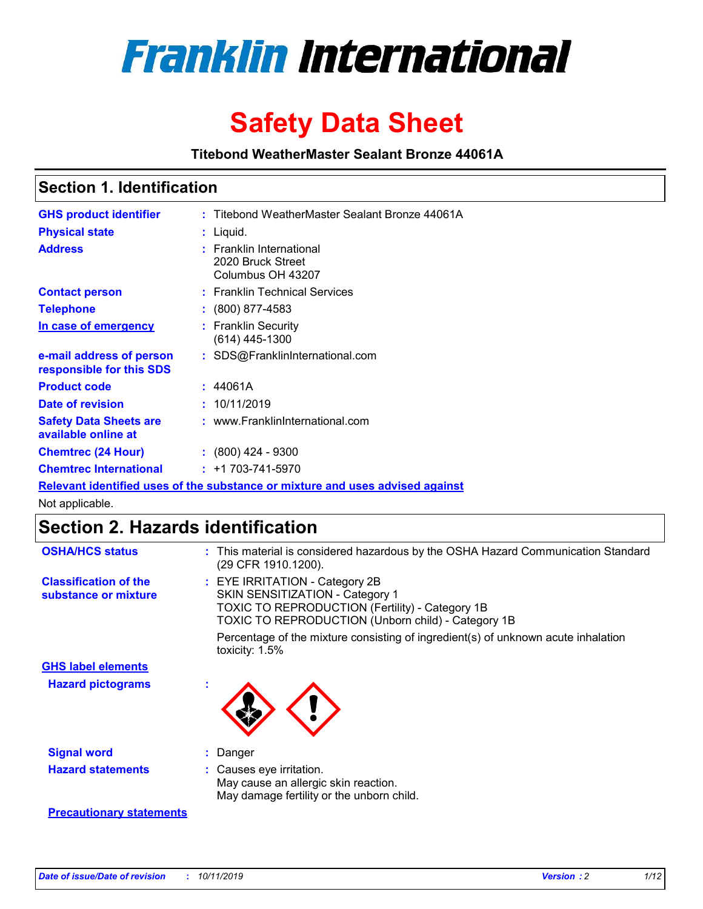

# **Safety Data Sheet**

**Titebond WeatherMaster Sealant Bronze 44061A**

### **Section 1. Identification**

| <b>GHS product identifier</b>                        | : Titebond WeatherMaster Sealant Bronze 44061A                                |
|------------------------------------------------------|-------------------------------------------------------------------------------|
| <b>Physical state</b>                                | : Liquid.                                                                     |
| <b>Address</b>                                       | : Franklin International<br>2020 Bruck Street<br>Columbus OH 43207            |
| <b>Contact person</b>                                | : Franklin Technical Services                                                 |
| <b>Telephone</b>                                     | $\colon$ (800) 877-4583                                                       |
| In case of emergency                                 | : Franklin Security<br>(614) 445-1300                                         |
| e-mail address of person<br>responsible for this SDS | : SDS@FranklinInternational.com                                               |
| <b>Product code</b>                                  | : 44061A                                                                      |
| Date of revision                                     | : 10/11/2019                                                                  |
| <b>Safety Data Sheets are</b><br>available online at | : www.FranklinInternational.com                                               |
| <b>Chemtrec (24 Hour)</b>                            | : (800) 424 - 9300                                                            |
| <b>Chemtrec International</b>                        | $: +1703 - 741 - 5970$                                                        |
|                                                      | Relevant identified uses of the substance or mixture and uses advised against |

Not applicable.

## **Section 2. Hazards identification**

| <b>OSHA/HCS status</b>                               | : This material is considered hazardous by the OSHA Hazard Communication Standard<br>(29 CFR 1910.1200).                                                                                 |
|------------------------------------------------------|------------------------------------------------------------------------------------------------------------------------------------------------------------------------------------------|
| <b>Classification of the</b><br>substance or mixture | : EYE IRRITATION - Category 2B<br>SKIN SENSITIZATION - Category 1<br><b>TOXIC TO REPRODUCTION (Fertility) - Category 1B</b><br><b>TOXIC TO REPRODUCTION (Unborn child) - Category 1B</b> |
|                                                      | Percentage of the mixture consisting of ingredient(s) of unknown acute inhalation<br>toxicity: $1.5\%$                                                                                   |
| <b>GHS label elements</b>                            |                                                                                                                                                                                          |
| <b>Hazard pictograms</b>                             |                                                                                                                                                                                          |
| <b>Signal word</b>                                   | : Danger                                                                                                                                                                                 |
| <b>Hazard statements</b>                             | : Causes eye irritation.<br>May cause an allergic skin reaction.<br>May damage fertility or the unborn child.                                                                            |
| <b>Precautionary statements</b>                      |                                                                                                                                                                                          |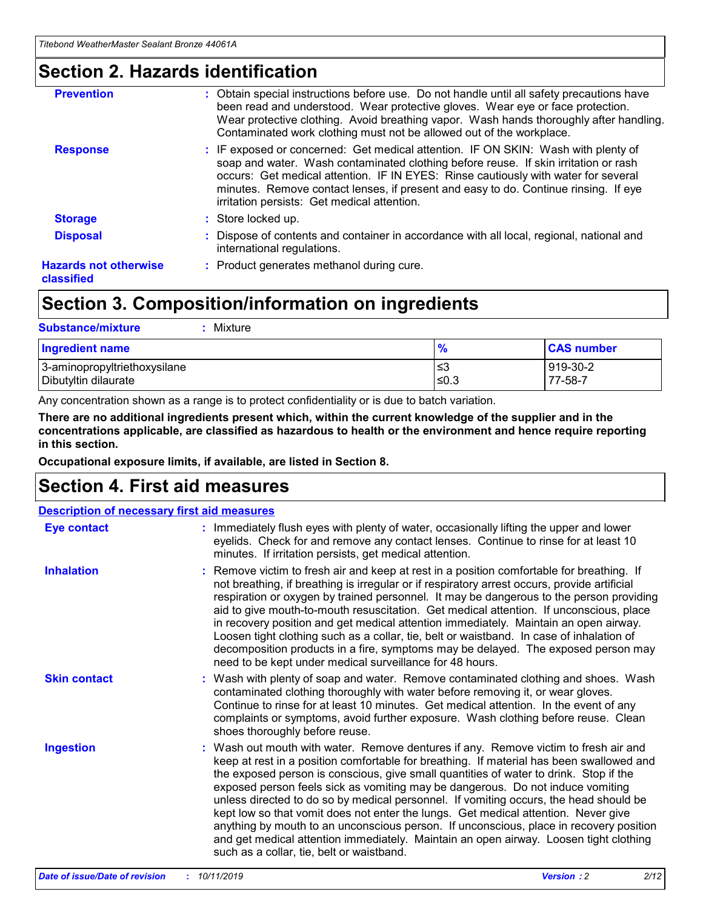### **Section 2. Hazards identification**

| <b>Prevention</b>                          | : Obtain special instructions before use. Do not handle until all safety precautions have<br>been read and understood. Wear protective gloves. Wear eye or face protection.<br>Wear protective clothing. Avoid breathing vapor. Wash hands thoroughly after handling.<br>Contaminated work clothing must not be allowed out of the workplace.                                                        |
|--------------------------------------------|------------------------------------------------------------------------------------------------------------------------------------------------------------------------------------------------------------------------------------------------------------------------------------------------------------------------------------------------------------------------------------------------------|
| <b>Response</b>                            | : IF exposed or concerned: Get medical attention. IF ON SKIN: Wash with plenty of<br>soap and water. Wash contaminated clothing before reuse. If skin irritation or rash<br>occurs: Get medical attention. IF IN EYES: Rinse cautiously with water for several<br>minutes. Remove contact lenses, if present and easy to do. Continue rinsing. If eye<br>irritation persists: Get medical attention. |
| <b>Storage</b>                             | : Store locked up.                                                                                                                                                                                                                                                                                                                                                                                   |
| <b>Disposal</b>                            | : Dispose of contents and container in accordance with all local, regional, national and<br>international regulations.                                                                                                                                                                                                                                                                               |
| <b>Hazards not otherwise</b><br>classified | : Product generates methanol during cure.                                                                                                                                                                                                                                                                                                                                                            |
|                                            |                                                                                                                                                                                                                                                                                                                                                                                                      |

### **Section 3. Composition/information on ingredients**

| <b>Substance/mixture</b><br>: Mixture                |               |                     |
|------------------------------------------------------|---------------|---------------------|
| Ingredient name                                      | $\frac{9}{6}$ | <b>CAS number</b>   |
| 3-aminopropyltriethoxysilane<br>Dibutyltin dilaurate | צ≥<br>≤0.3    | 919-30-2<br>77-58-7 |

Any concentration shown as a range is to protect confidentiality or is due to batch variation.

**There are no additional ingredients present which, within the current knowledge of the supplier and in the concentrations applicable, are classified as hazardous to health or the environment and hence require reporting in this section.**

**Occupational exposure limits, if available, are listed in Section 8.**

### **Section 4. First aid measures**

| <b>Description of necessary first aid measures</b> |                                                                                                                                                                                                                                                                                                                                                                                                                                                                                                                                                                                                                                                                                                                                                                           |  |  |  |
|----------------------------------------------------|---------------------------------------------------------------------------------------------------------------------------------------------------------------------------------------------------------------------------------------------------------------------------------------------------------------------------------------------------------------------------------------------------------------------------------------------------------------------------------------------------------------------------------------------------------------------------------------------------------------------------------------------------------------------------------------------------------------------------------------------------------------------------|--|--|--|
| <b>Eye contact</b>                                 | : Immediately flush eyes with plenty of water, occasionally lifting the upper and lower<br>eyelids. Check for and remove any contact lenses. Continue to rinse for at least 10<br>minutes. If irritation persists, get medical attention.                                                                                                                                                                                                                                                                                                                                                                                                                                                                                                                                 |  |  |  |
| <b>Inhalation</b>                                  | : Remove victim to fresh air and keep at rest in a position comfortable for breathing. If<br>not breathing, if breathing is irregular or if respiratory arrest occurs, provide artificial<br>respiration or oxygen by trained personnel. It may be dangerous to the person providing<br>aid to give mouth-to-mouth resuscitation. Get medical attention. If unconscious, place<br>in recovery position and get medical attention immediately. Maintain an open airway.<br>Loosen tight clothing such as a collar, tie, belt or waistband. In case of inhalation of<br>decomposition products in a fire, symptoms may be delayed. The exposed person may<br>need to be kept under medical surveillance for 48 hours.                                                       |  |  |  |
| <b>Skin contact</b>                                | : Wash with plenty of soap and water. Remove contaminated clothing and shoes. Wash<br>contaminated clothing thoroughly with water before removing it, or wear gloves.<br>Continue to rinse for at least 10 minutes. Get medical attention. In the event of any<br>complaints or symptoms, avoid further exposure. Wash clothing before reuse. Clean<br>shoes thoroughly before reuse.                                                                                                                                                                                                                                                                                                                                                                                     |  |  |  |
| <b>Ingestion</b>                                   | : Wash out mouth with water. Remove dentures if any. Remove victim to fresh air and<br>keep at rest in a position comfortable for breathing. If material has been swallowed and<br>the exposed person is conscious, give small quantities of water to drink. Stop if the<br>exposed person feels sick as vomiting may be dangerous. Do not induce vomiting<br>unless directed to do so by medical personnel. If vomiting occurs, the head should be<br>kept low so that vomit does not enter the lungs. Get medical attention. Never give<br>anything by mouth to an unconscious person. If unconscious, place in recovery position<br>and get medical attention immediately. Maintain an open airway. Loosen tight clothing<br>such as a collar, tie, belt or waistband. |  |  |  |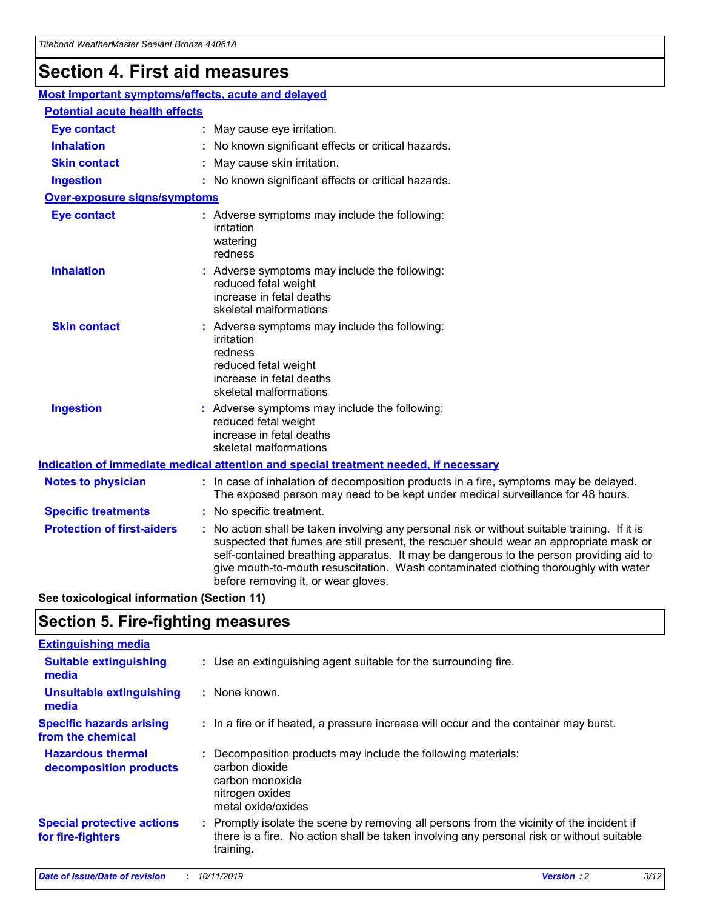## **Section 4. First aid measures**

| Most important symptoms/effects, acute and delayed |                                       |                                                                                                                                                                                                                                                                                                                                                                                                                 |  |  |  |
|----------------------------------------------------|---------------------------------------|-----------------------------------------------------------------------------------------------------------------------------------------------------------------------------------------------------------------------------------------------------------------------------------------------------------------------------------------------------------------------------------------------------------------|--|--|--|
|                                                    | <b>Potential acute health effects</b> |                                                                                                                                                                                                                                                                                                                                                                                                                 |  |  |  |
| <b>Eye contact</b>                                 |                                       | : May cause eye irritation.                                                                                                                                                                                                                                                                                                                                                                                     |  |  |  |
| <b>Inhalation</b>                                  |                                       | : No known significant effects or critical hazards.                                                                                                                                                                                                                                                                                                                                                             |  |  |  |
| <b>Skin contact</b>                                |                                       | : May cause skin irritation.                                                                                                                                                                                                                                                                                                                                                                                    |  |  |  |
| <b>Ingestion</b>                                   |                                       | : No known significant effects or critical hazards.                                                                                                                                                                                                                                                                                                                                                             |  |  |  |
| Over-exposure signs/symptoms                       |                                       |                                                                                                                                                                                                                                                                                                                                                                                                                 |  |  |  |
| <b>Eye contact</b>                                 |                                       | : Adverse symptoms may include the following:<br>irritation<br>watering<br>redness                                                                                                                                                                                                                                                                                                                              |  |  |  |
| <b>Inhalation</b>                                  |                                       | : Adverse symptoms may include the following:<br>reduced fetal weight<br>increase in fetal deaths<br>skeletal malformations                                                                                                                                                                                                                                                                                     |  |  |  |
| <b>Skin contact</b>                                |                                       | : Adverse symptoms may include the following:<br>irritation<br>redness<br>reduced fetal weight<br>increase in fetal deaths<br>skeletal malformations                                                                                                                                                                                                                                                            |  |  |  |
| <b>Ingestion</b>                                   |                                       | : Adverse symptoms may include the following:<br>reduced fetal weight<br>increase in fetal deaths<br>skeletal malformations                                                                                                                                                                                                                                                                                     |  |  |  |
|                                                    |                                       | <b>Indication of immediate medical attention and special treatment needed, if necessary</b>                                                                                                                                                                                                                                                                                                                     |  |  |  |
| <b>Notes to physician</b>                          |                                       | : In case of inhalation of decomposition products in a fire, symptoms may be delayed.<br>The exposed person may need to be kept under medical surveillance for 48 hours.                                                                                                                                                                                                                                        |  |  |  |
| <b>Specific treatments</b>                         |                                       | : No specific treatment.                                                                                                                                                                                                                                                                                                                                                                                        |  |  |  |
| <b>Protection of first-aiders</b>                  |                                       | : No action shall be taken involving any personal risk or without suitable training. If it is<br>suspected that fumes are still present, the rescuer should wear an appropriate mask or<br>self-contained breathing apparatus. It may be dangerous to the person providing aid to<br>give mouth-to-mouth resuscitation. Wash contaminated clothing thoroughly with water<br>before removing it, or wear gloves. |  |  |  |

**See toxicological information (Section 11)**

### **Section 5. Fire-fighting measures**

| <b>Extinguishing media</b>                             |                                                                                                                                                                                                     |
|--------------------------------------------------------|-----------------------------------------------------------------------------------------------------------------------------------------------------------------------------------------------------|
| <b>Suitable extinguishing</b><br>media                 | : Use an extinguishing agent suitable for the surrounding fire.                                                                                                                                     |
| <b>Unsuitable extinguishing</b><br>media               | : None known.                                                                                                                                                                                       |
| <b>Specific hazards arising</b><br>from the chemical   | : In a fire or if heated, a pressure increase will occur and the container may burst.                                                                                                               |
| <b>Hazardous thermal</b><br>decomposition products     | : Decomposition products may include the following materials:<br>carbon dioxide<br>carbon monoxide<br>nitrogen oxides<br>metal oxide/oxides                                                         |
| <b>Special protective actions</b><br>for fire-fighters | : Promptly isolate the scene by removing all persons from the vicinity of the incident if<br>there is a fire. No action shall be taken involving any personal risk or without suitable<br>training. |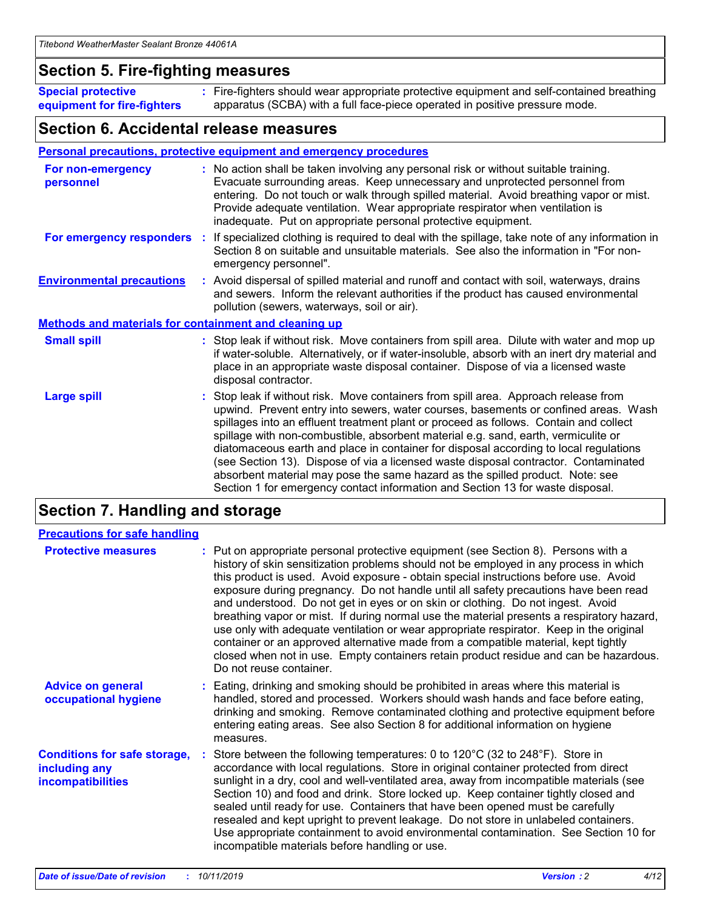### **Section 5. Fire-fighting measures**

**Special protective equipment for fire-fighters** Fire-fighters should wear appropriate protective equipment and self-contained breathing **:** apparatus (SCBA) with a full face-piece operated in positive pressure mode.

### **Section 6. Accidental release measures**

#### **Personal precautions, protective equipment and emergency procedures**

| For non-emergency<br>personnel                               | : No action shall be taken involving any personal risk or without suitable training.<br>Evacuate surrounding areas. Keep unnecessary and unprotected personnel from<br>entering. Do not touch or walk through spilled material. Avoid breathing vapor or mist.<br>Provide adequate ventilation. Wear appropriate respirator when ventilation is<br>inadequate. Put on appropriate personal protective equipment.                                                                                                                                                                                                                                                                                             |
|--------------------------------------------------------------|--------------------------------------------------------------------------------------------------------------------------------------------------------------------------------------------------------------------------------------------------------------------------------------------------------------------------------------------------------------------------------------------------------------------------------------------------------------------------------------------------------------------------------------------------------------------------------------------------------------------------------------------------------------------------------------------------------------|
| For emergency responders                                     | : If specialized clothing is required to deal with the spillage, take note of any information in<br>Section 8 on suitable and unsuitable materials. See also the information in "For non-<br>emergency personnel".                                                                                                                                                                                                                                                                                                                                                                                                                                                                                           |
| <b>Environmental precautions</b>                             | : Avoid dispersal of spilled material and runoff and contact with soil, waterways, drains<br>and sewers. Inform the relevant authorities if the product has caused environmental<br>pollution (sewers, waterways, soil or air).                                                                                                                                                                                                                                                                                                                                                                                                                                                                              |
| <b>Methods and materials for containment and cleaning up</b> |                                                                                                                                                                                                                                                                                                                                                                                                                                                                                                                                                                                                                                                                                                              |
| <b>Small spill</b>                                           | : Stop leak if without risk. Move containers from spill area. Dilute with water and mop up<br>if water-soluble. Alternatively, or if water-insoluble, absorb with an inert dry material and<br>place in an appropriate waste disposal container. Dispose of via a licensed waste<br>disposal contractor.                                                                                                                                                                                                                                                                                                                                                                                                     |
| <b>Large spill</b>                                           | : Stop leak if without risk. Move containers from spill area. Approach release from<br>upwind. Prevent entry into sewers, water courses, basements or confined areas. Wash<br>spillages into an effluent treatment plant or proceed as follows. Contain and collect<br>spillage with non-combustible, absorbent material e.g. sand, earth, vermiculite or<br>diatomaceous earth and place in container for disposal according to local regulations<br>(see Section 13). Dispose of via a licensed waste disposal contractor. Contaminated<br>absorbent material may pose the same hazard as the spilled product. Note: see<br>Section 1 for emergency contact information and Section 13 for waste disposal. |

### **Section 7. Handling and storage**

| <b>Precautions for safe handling</b>                                             |                                                                                                                                                                                                                                                                                                                                                                                                                                                                                                                                                                                                                                                                                                                                                                                                                                                  |
|----------------------------------------------------------------------------------|--------------------------------------------------------------------------------------------------------------------------------------------------------------------------------------------------------------------------------------------------------------------------------------------------------------------------------------------------------------------------------------------------------------------------------------------------------------------------------------------------------------------------------------------------------------------------------------------------------------------------------------------------------------------------------------------------------------------------------------------------------------------------------------------------------------------------------------------------|
| <b>Protective measures</b>                                                       | : Put on appropriate personal protective equipment (see Section 8). Persons with a<br>history of skin sensitization problems should not be employed in any process in which<br>this product is used. Avoid exposure - obtain special instructions before use. Avoid<br>exposure during pregnancy. Do not handle until all safety precautions have been read<br>and understood. Do not get in eyes or on skin or clothing. Do not ingest. Avoid<br>breathing vapor or mist. If during normal use the material presents a respiratory hazard,<br>use only with adequate ventilation or wear appropriate respirator. Keep in the original<br>container or an approved alternative made from a compatible material, kept tightly<br>closed when not in use. Empty containers retain product residue and can be hazardous.<br>Do not reuse container. |
| <b>Advice on general</b><br>occupational hygiene                                 | : Eating, drinking and smoking should be prohibited in areas where this material is<br>handled, stored and processed. Workers should wash hands and face before eating,<br>drinking and smoking. Remove contaminated clothing and protective equipment before<br>entering eating areas. See also Section 8 for additional information on hygiene<br>measures.                                                                                                                                                                                                                                                                                                                                                                                                                                                                                    |
| <b>Conditions for safe storage,</b><br>including any<br><b>incompatibilities</b> | Store between the following temperatures: 0 to 120°C (32 to 248°F). Store in<br>accordance with local regulations. Store in original container protected from direct<br>sunlight in a dry, cool and well-ventilated area, away from incompatible materials (see<br>Section 10) and food and drink. Store locked up. Keep container tightly closed and<br>sealed until ready for use. Containers that have been opened must be carefully<br>resealed and kept upright to prevent leakage. Do not store in unlabeled containers.<br>Use appropriate containment to avoid environmental contamination. See Section 10 for<br>incompatible materials before handling or use.                                                                                                                                                                         |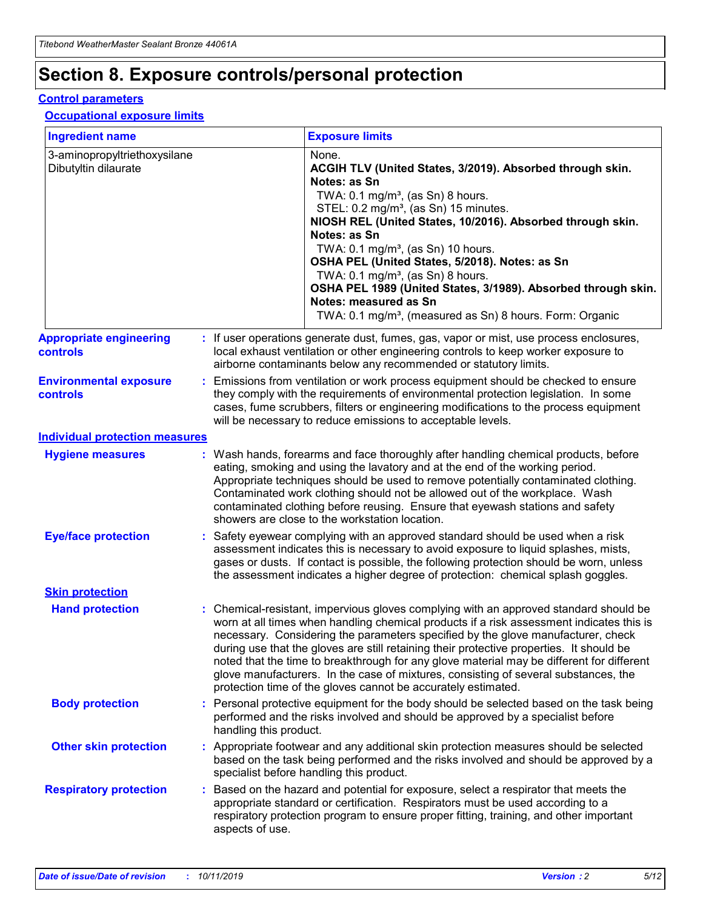## **Section 8. Exposure controls/personal protection**

#### **Control parameters**

#### **Occupational exposure limits**

| <b>Ingredient name</b>                               |    |                        | <b>Exposure limits</b>                                                                                                                                                                                                                                                                                                                                                                                                                                                                                                                                                                                                 |
|------------------------------------------------------|----|------------------------|------------------------------------------------------------------------------------------------------------------------------------------------------------------------------------------------------------------------------------------------------------------------------------------------------------------------------------------------------------------------------------------------------------------------------------------------------------------------------------------------------------------------------------------------------------------------------------------------------------------------|
| 3-aminopropyltriethoxysilane<br>Dibutyltin dilaurate |    |                        | None.<br>ACGIH TLV (United States, 3/2019). Absorbed through skin.<br>Notes: as Sn<br>TWA: $0.1 \text{ mg/m}^3$ , (as Sn) 8 hours.<br>STEL: 0.2 mg/m <sup>3</sup> , (as Sn) 15 minutes.<br>NIOSH REL (United States, 10/2016). Absorbed through skin.<br>Notes: as Sn<br>TWA: 0.1 mg/m <sup>3</sup> , (as Sn) 10 hours.<br>OSHA PEL (United States, 5/2018). Notes: as Sn<br>TWA: $0.1 \text{ mg/m}^3$ , (as Sn) 8 hours.<br>OSHA PEL 1989 (United States, 3/1989). Absorbed through skin.<br>Notes: measured as Sn<br>TWA: 0.1 mg/m <sup>3</sup> , (measured as Sn) 8 hours. Form: Organic                            |
| <b>Appropriate engineering</b><br>controls           |    |                        | : If user operations generate dust, fumes, gas, vapor or mist, use process enclosures,<br>local exhaust ventilation or other engineering controls to keep worker exposure to<br>airborne contaminants below any recommended or statutory limits.                                                                                                                                                                                                                                                                                                                                                                       |
| <b>Environmental exposure</b><br>controls            |    |                        | Emissions from ventilation or work process equipment should be checked to ensure<br>they comply with the requirements of environmental protection legislation. In some<br>cases, fume scrubbers, filters or engineering modifications to the process equipment<br>will be necessary to reduce emissions to acceptable levels.                                                                                                                                                                                                                                                                                          |
| <b>Individual protection measures</b>                |    |                        |                                                                                                                                                                                                                                                                                                                                                                                                                                                                                                                                                                                                                        |
| <b>Hygiene measures</b>                              |    |                        | : Wash hands, forearms and face thoroughly after handling chemical products, before<br>eating, smoking and using the lavatory and at the end of the working period.<br>Appropriate techniques should be used to remove potentially contaminated clothing.<br>Contaminated work clothing should not be allowed out of the workplace. Wash<br>contaminated clothing before reusing. Ensure that eyewash stations and safety<br>showers are close to the workstation location.                                                                                                                                            |
| <b>Eye/face protection</b>                           |    |                        | : Safety eyewear complying with an approved standard should be used when a risk<br>assessment indicates this is necessary to avoid exposure to liquid splashes, mists,<br>gases or dusts. If contact is possible, the following protection should be worn, unless<br>the assessment indicates a higher degree of protection: chemical splash goggles.                                                                                                                                                                                                                                                                  |
| <b>Skin protection</b>                               |    |                        |                                                                                                                                                                                                                                                                                                                                                                                                                                                                                                                                                                                                                        |
| <b>Hand protection</b>                               |    |                        | : Chemical-resistant, impervious gloves complying with an approved standard should be<br>worn at all times when handling chemical products if a risk assessment indicates this is<br>necessary. Considering the parameters specified by the glove manufacturer, check<br>during use that the gloves are still retaining their protective properties. It should be<br>noted that the time to breakthrough for any glove material may be different for different<br>glove manufacturers. In the case of mixtures, consisting of several substances, the<br>protection time of the gloves cannot be accurately estimated. |
| <b>Body protection</b>                               |    | handling this product. | Personal protective equipment for the body should be selected based on the task being<br>performed and the risks involved and should be approved by a specialist before                                                                                                                                                                                                                                                                                                                                                                                                                                                |
| <b>Other skin protection</b>                         |    |                        | : Appropriate footwear and any additional skin protection measures should be selected<br>based on the task being performed and the risks involved and should be approved by a<br>specialist before handling this product.                                                                                                                                                                                                                                                                                                                                                                                              |
| <b>Respiratory protection</b>                        | ÷. | aspects of use.        | Based on the hazard and potential for exposure, select a respirator that meets the<br>appropriate standard or certification. Respirators must be used according to a<br>respiratory protection program to ensure proper fitting, training, and other important                                                                                                                                                                                                                                                                                                                                                         |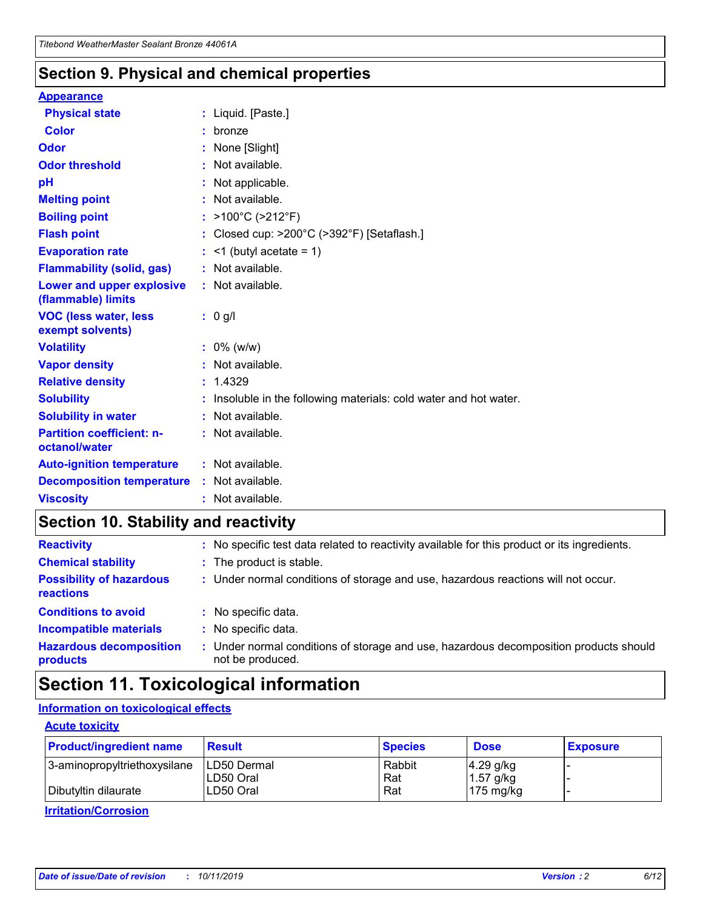### **Section 9. Physical and chemical properties**

#### **Appearance**

| <b>Physical state</b>                             |    | : Liquid. [Paste.]                                              |
|---------------------------------------------------|----|-----------------------------------------------------------------|
| <b>Color</b>                                      |    | bronze                                                          |
| Odor                                              |    | None [Slight]                                                   |
| <b>Odor threshold</b>                             | ÷  | Not available.                                                  |
| рH                                                |    | Not applicable.                                                 |
| <b>Melting point</b>                              |    | : Not available.                                                |
| <b>Boiling point</b>                              |    | >100°C (>212°F)                                                 |
| <b>Flash point</b>                                |    | Closed cup: >200°C (>392°F) [Setaflash.]                        |
| <b>Evaporation rate</b>                           |    | $\leq$ 1 (butyl acetate = 1)                                    |
| <b>Flammability (solid, gas)</b>                  |    | : Not available.                                                |
| Lower and upper explosive<br>(flammable) limits   |    | $:$ Not available.                                              |
| <b>VOC (less water, less)</b><br>exempt solvents) |    | : 0 g/l                                                         |
| <b>Volatility</b>                                 |    | $: 0\%$ (w/w)                                                   |
| <b>Vapor density</b>                              |    | Not available.                                                  |
| <b>Relative density</b>                           | ÷. | 1.4329                                                          |
| <b>Solubility</b>                                 |    | Insoluble in the following materials: cold water and hot water. |
| <b>Solubility in water</b>                        |    | Not available.                                                  |
| <b>Partition coefficient: n-</b><br>octanol/water |    | $:$ Not available.                                              |
| <b>Auto-ignition temperature</b>                  |    | : Not available.                                                |
| <b>Decomposition temperature</b>                  |    | : Not available.                                                |
| <b>Viscosity</b>                                  |    | : Not available.                                                |

### **Section 10. Stability and reactivity**

| <b>Reactivity</b>                            |    | : No specific test data related to reactivity available for this product or its ingredients.            |
|----------------------------------------------|----|---------------------------------------------------------------------------------------------------------|
| <b>Chemical stability</b>                    |    | : The product is stable.                                                                                |
| <b>Possibility of hazardous</b><br>reactions |    | : Under normal conditions of storage and use, hazardous reactions will not occur.                       |
| <b>Conditions to avoid</b>                   |    | : No specific data.                                                                                     |
| <b>Incompatible materials</b>                | ٠. | No specific data.                                                                                       |
| <b>Hazardous decomposition</b><br>products   | ÷. | Under normal conditions of storage and use, hazardous decomposition products should<br>not be produced. |

### **Section 11. Toxicological information**

#### **Information on toxicological effects**

#### **Acute toxicity**

| <b>Product/ingredient name</b> | <b>Result</b>           | <b>Species</b> | <b>Dose</b>                | <b>Exposure</b> |
|--------------------------------|-------------------------|----------------|----------------------------|-----------------|
| 3-aminopropyltriethoxysilane   | <b>ILD50 Dermal</b>     | Rabbit         | 4.29 g/kg                  |                 |
| Dibutyltin dilaurate           | ILD50 Oral<br>LD50 Oral | Rat<br>Rat     | $1.57$ g/kg<br>175 $mg/kg$ |                 |
|                                |                         |                |                            |                 |

**Irritation/Corrosion**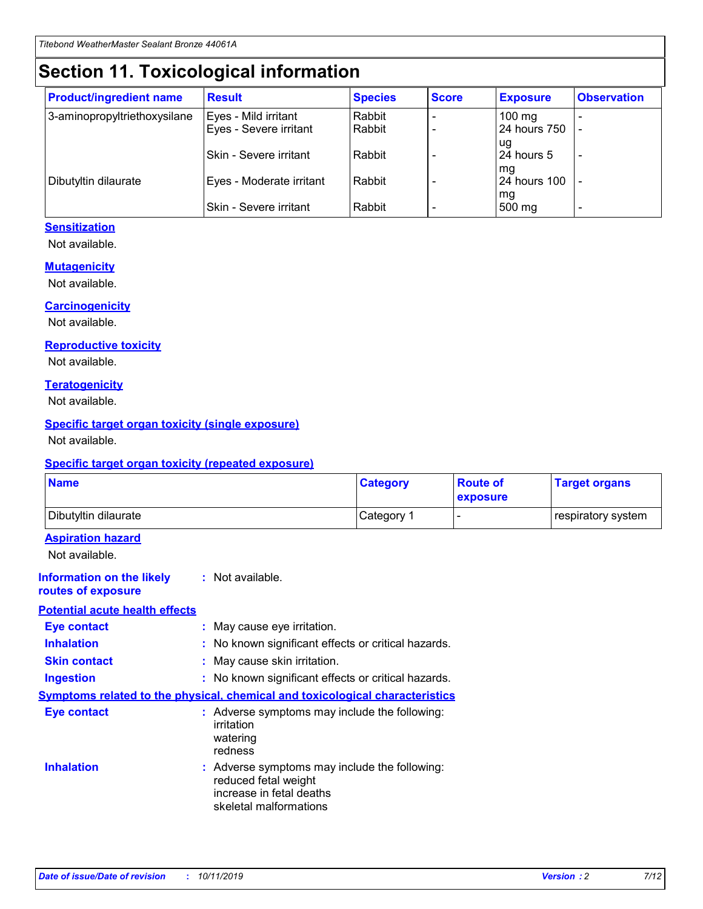## **Section 11. Toxicological information**

| <b>Product/ingredient name</b> | <b>Result</b>            | <b>Species</b> | <b>Score</b> | <b>Exposure</b>           | <b>Observation</b> |
|--------------------------------|--------------------------|----------------|--------------|---------------------------|--------------------|
| 3-aminopropyltriethoxysilane   | Eyes - Mild irritant     | Rabbit         |              | $100$ mg                  |                    |
|                                | Eyes - Severe irritant   | Rabbit         |              | 24 hours 750              |                    |
|                                |                          |                |              | ug                        |                    |
|                                | Skin - Severe irritant   | Rabbit         |              | 24 hours 5                | -                  |
| Dibutyltin dilaurate           | Eyes - Moderate irritant | Rabbit         |              | mq<br><b>24 hours 100</b> |                    |
|                                |                          |                |              | mg                        |                    |
|                                | Skin - Severe irritant   | Rabbit         |              | 500 mg                    |                    |

#### **Sensitization**

Not available.

#### **Mutagenicity**

Not available.

#### **Carcinogenicity**

Not available.

#### **Reproductive toxicity**

Not available.

#### **Teratogenicity**

Not available.

#### **Specific target organ toxicity (single exposure)**

Not available.

#### **Specific target organ toxicity (repeated exposure)**

| <b>Name</b>                                                                  |                                                                                                                             | <b>Category</b> | <b>Route of</b><br>exposure  | <b>Target organs</b> |
|------------------------------------------------------------------------------|-----------------------------------------------------------------------------------------------------------------------------|-----------------|------------------------------|----------------------|
| Dibutyltin dilaurate                                                         |                                                                                                                             | Category 1      | $\qquad \qquad \blacksquare$ | respiratory system   |
| <b>Aspiration hazard</b><br>Not available.                                   |                                                                                                                             |                 |                              |                      |
| <b>Information on the likely</b><br>routes of exposure                       | : Not available.                                                                                                            |                 |                              |                      |
| <b>Potential acute health effects</b>                                        |                                                                                                                             |                 |                              |                      |
| <b>Eye contact</b>                                                           | : May cause eye irritation.                                                                                                 |                 |                              |                      |
| <b>Inhalation</b>                                                            | : No known significant effects or critical hazards.                                                                         |                 |                              |                      |
| <b>Skin contact</b>                                                          | : May cause skin irritation.                                                                                                |                 |                              |                      |
| <b>Ingestion</b>                                                             | : No known significant effects or critical hazards.                                                                         |                 |                              |                      |
| Symptoms related to the physical, chemical and toxicological characteristics |                                                                                                                             |                 |                              |                      |
| <b>Eye contact</b>                                                           | : Adverse symptoms may include the following:<br>irritation<br>watering<br>redness                                          |                 |                              |                      |
| <b>Inhalation</b>                                                            | : Adverse symptoms may include the following:<br>reduced fetal weight<br>increase in fetal deaths<br>skeletal malformations |                 |                              |                      |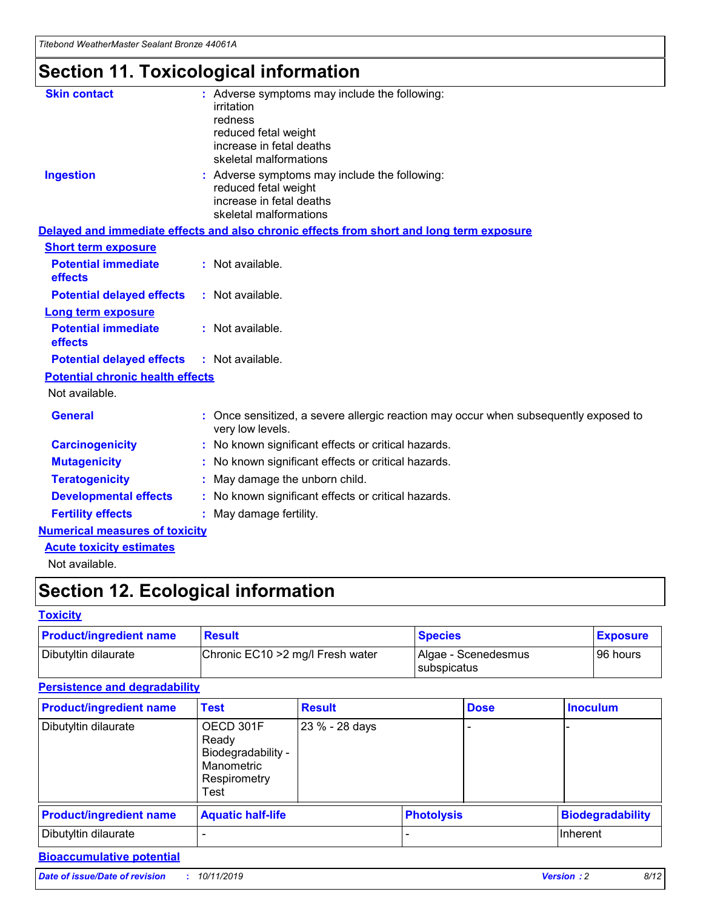*Titebond WeatherMaster Sealant Bronze 44061A*

## **Section 11. Toxicological information**

| <b>Skin contact</b>                     | : Adverse symptoms may include the following:<br>irritation<br>redness<br>reduced fetal weight<br>increase in fetal deaths<br>skeletal malformations |  |
|-----------------------------------------|------------------------------------------------------------------------------------------------------------------------------------------------------|--|
| <b>Ingestion</b>                        | : Adverse symptoms may include the following:<br>reduced fetal weight<br>increase in fetal deaths<br>skeletal malformations                          |  |
|                                         | Delayed and immediate effects and also chronic effects from short and long term exposure                                                             |  |
| <b>Short term exposure</b>              |                                                                                                                                                      |  |
| <b>Potential immediate</b><br>effects   | : Not available.                                                                                                                                     |  |
| <b>Potential delayed effects</b>        | : Not available.                                                                                                                                     |  |
| <b>Long term exposure</b>               |                                                                                                                                                      |  |
| <b>Potential immediate</b><br>effects   | : Not available.                                                                                                                                     |  |
| <b>Potential delayed effects</b>        | : Not available.                                                                                                                                     |  |
| <b>Potential chronic health effects</b> |                                                                                                                                                      |  |
| Not available.                          |                                                                                                                                                      |  |
| <b>General</b>                          | : Once sensitized, a severe allergic reaction may occur when subsequently exposed to<br>very low levels.                                             |  |
| <b>Carcinogenicity</b>                  | : No known significant effects or critical hazards.                                                                                                  |  |
| <b>Mutagenicity</b>                     | : No known significant effects or critical hazards.                                                                                                  |  |
| <b>Teratogenicity</b>                   | May damage the unborn child.                                                                                                                         |  |
| <b>Developmental effects</b>            | : No known significant effects or critical hazards.                                                                                                  |  |
| <b>Fertility effects</b>                | May damage fertility.                                                                                                                                |  |
| <b>Numerical measures of toxicity</b>   |                                                                                                                                                      |  |
| <b>Acute toxicity estimates</b>         |                                                                                                                                                      |  |
| الملحلة والمستحقق فالمرابط              |                                                                                                                                                      |  |

Not available.

## **Section 12. Ecological information**

#### **Toxicity**

| <b>Product/ingredient name</b> | <b>Result</b>                     | <b>Species</b>                              | <b>Exposure</b> |
|--------------------------------|-----------------------------------|---------------------------------------------|-----------------|
| Dibutyltin dilaurate           | Chronic EC10 > 2 mg/l Fresh water | Algae - Scenedesmus<br><b>I</b> subspicatus | l 96 hours      |

#### **Persistence and degradability**

| <b>Product/ingredient name</b> | <b>Test</b>                                                                    | <b>Result</b>  |  | <b>Dose</b>       | <b>Inoculum</b>         |
|--------------------------------|--------------------------------------------------------------------------------|----------------|--|-------------------|-------------------------|
| Dibutyltin dilaurate           | OECD 301F<br>Ready<br>Biodegradability -<br>Manometric<br>Respirometry<br>Test | 23 % - 28 days |  |                   |                         |
| <b>Product/ingredient name</b> | <b>Aquatic half-life</b>                                                       |                |  | <b>Photolysis</b> | <b>Biodegradability</b> |
| Dibutyltin dilaurate           |                                                                                |                |  |                   | Inherent                |

#### **Bioaccumulative potential**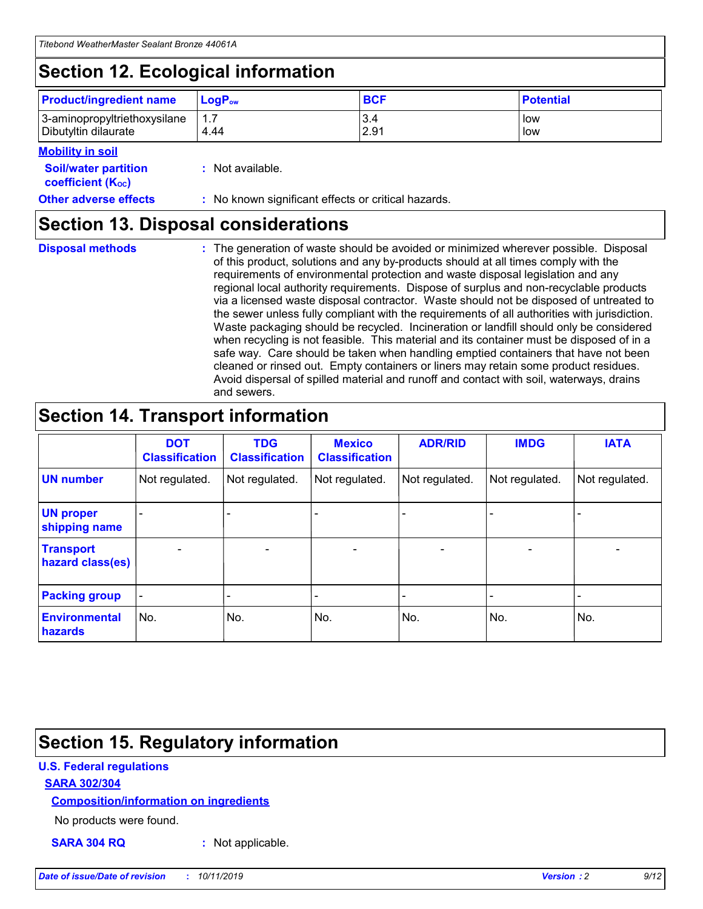## **Section 12. Ecological information**

| <b>Product/ingredient name</b>                       | ∣LoqP <sub>ow</sub> | <b>BCF</b>  | <b>Potential</b> |
|------------------------------------------------------|---------------------|-------------|------------------|
| 3-aminopropyltriethoxysilane<br>Dibutyltin dilaurate | 1.1<br>4.44         | 3.4<br>2.91 | low<br>low       |

#### **Mobility in soil**

| <i></i>                                                       |                                                     |
|---------------------------------------------------------------|-----------------------------------------------------|
| <b>Soil/water partition</b><br>coefficient (K <sub>oc</sub> ) | : Not available.                                    |
| <b>Other adverse effects</b>                                  | : No known significant effects or critical hazards. |

### **Section 13. Disposal considerations**

| <b>Disposal methods</b> |  |  |
|-------------------------|--|--|

**Disposal methods** : The generation of waste should be avoided or minimized wherever possible. Disposal of this product, solutions and any by-products should at all times comply with the requirements of environmental protection and waste disposal legislation and any regional local authority requirements. Dispose of surplus and non-recyclable products via a licensed waste disposal contractor. Waste should not be disposed of untreated to the sewer unless fully compliant with the requirements of all authorities with jurisdiction. Waste packaging should be recycled. Incineration or landfill should only be considered when recycling is not feasible. This material and its container must be disposed of in a safe way. Care should be taken when handling emptied containers that have not been cleaned or rinsed out. Empty containers or liners may retain some product residues. Avoid dispersal of spilled material and runoff and contact with soil, waterways, drains and sewers.

## **Section 14. Transport information**

|                                      | <b>DOT</b><br><b>Classification</b> | <b>TDG</b><br><b>Classification</b> | <b>Mexico</b><br><b>Classification</b> | <b>ADR/RID</b>           | <b>IMDG</b>     | <b>IATA</b>              |
|--------------------------------------|-------------------------------------|-------------------------------------|----------------------------------------|--------------------------|-----------------|--------------------------|
| <b>UN number</b>                     | Not regulated.                      | Not regulated.                      | Not regulated.                         | Not regulated.           | Not regulated.  | Not regulated.           |
| <b>UN proper</b><br>shipping name    | $\qquad \qquad \blacksquare$        |                                     |                                        |                          |                 |                          |
| <b>Transport</b><br>hazard class(es) | $\overline{\phantom{0}}$            | $\qquad \qquad$                     | $\qquad \qquad$                        | $\overline{\phantom{a}}$ | $\qquad \qquad$ | $\overline{\phantom{0}}$ |
| <b>Packing group</b>                 | $\overline{\phantom{a}}$            | -                                   |                                        |                          |                 |                          |
| <b>Environmental</b><br>hazards      | No.                                 | No.                                 | No.                                    | No.                      | No.             | No.                      |

## **Section 15. Regulatory information**

#### **U.S. Federal regulations**

#### **SARA 302/304**

#### **Composition/information on ingredients**

No products were found.

**SARA 304 RQ :** Not applicable.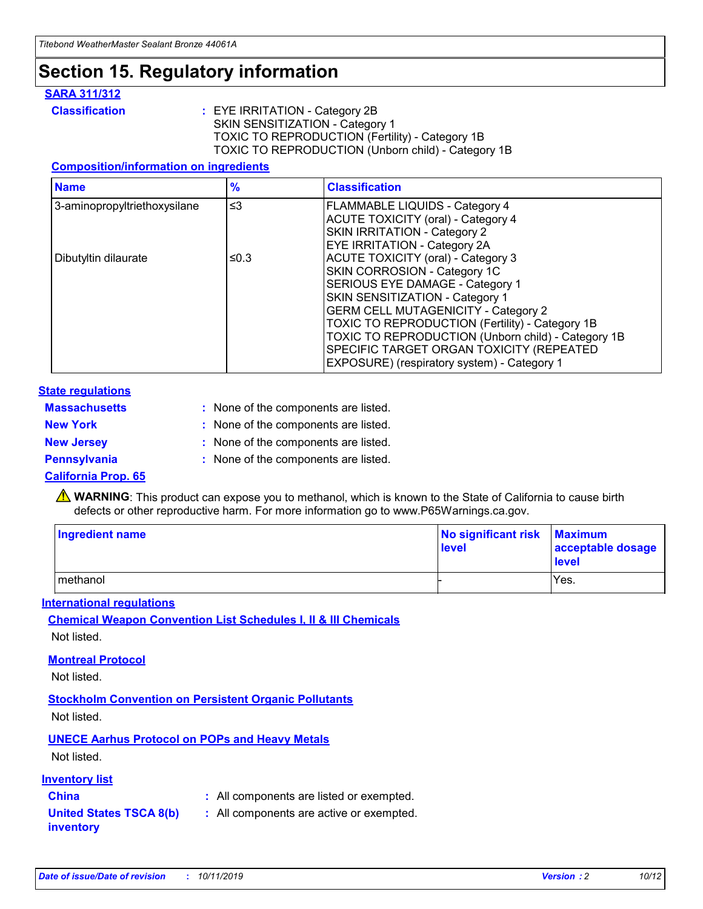## **Section 15. Regulatory information**

#### **SARA 311/312**

**Classification :** EYE IRRITATION - Category 2B SKIN SENSITIZATION - Category 1 TOXIC TO REPRODUCTION (Fertility) - Category 1B TOXIC TO REPRODUCTION (Unborn child) - Category 1B

#### **Composition/information on ingredients**

| <b>Name</b>                  | $\frac{9}{6}$ | <b>Classification</b>                                  |
|------------------------------|---------------|--------------------------------------------------------|
| 3-aminopropyltriethoxysilane | $\leq$ 3      | <b>FLAMMABLE LIQUIDS - Category 4</b>                  |
|                              |               | <b>ACUTE TOXICITY (oral) - Category 4</b>              |
|                              |               | SKIN IRRITATION - Category 2                           |
|                              |               | <b>EYE IRRITATION - Category 2A</b>                    |
| Dibutyltin dilaurate         | ≤0.3          | <b>ACUTE TOXICITY (oral) - Category 3</b>              |
|                              |               | SKIN CORROSION - Category 1C                           |
|                              |               | SERIOUS EYE DAMAGE - Category 1                        |
|                              |               | SKIN SENSITIZATION - Category 1                        |
|                              |               | <b>GERM CELL MUTAGENICITY - Category 2</b>             |
|                              |               | <b>TOXIC TO REPRODUCTION (Fertility) - Category 1B</b> |
|                              |               | TOXIC TO REPRODUCTION (Unborn child) - Category 1B     |
|                              |               | SPECIFIC TARGET ORGAN TOXICITY (REPEATED               |
|                              |               | EXPOSURE) (respiratory system) - Category 1            |

#### **State regulations**

| <b>Massachusetts</b> | : None of the components are listed. |
|----------------------|--------------------------------------|
| <b>New York</b>      | : None of the components are listed. |
| <b>New Jersey</b>    | : None of the components are listed. |
| <b>Pennsylvania</b>  | : None of the components are listed. |

#### **California Prop. 65**

**A** WARNING: This product can expose you to methanol, which is known to the State of California to cause birth defects or other reproductive harm. For more information go to www.P65Warnings.ca.gov.

| <b>Ingredient name</b> | No significant risk Maximum<br>level | acceptable dosage<br>level |
|------------------------|--------------------------------------|----------------------------|
| methanol               |                                      | Yes.                       |

#### **International regulations**

**Chemical Weapon Convention List Schedules I, II & III Chemicals** Not listed.

#### **Montreal Protocol**

Not listed.

**Stockholm Convention on Persistent Organic Pollutants**

Not listed.

#### **UNECE Aarhus Protocol on POPs and Heavy Metals**

Not listed.

#### **Inventory list**

### **China :** All components are listed or exempted.

**United States TSCA 8(b) inventory :** All components are active or exempted.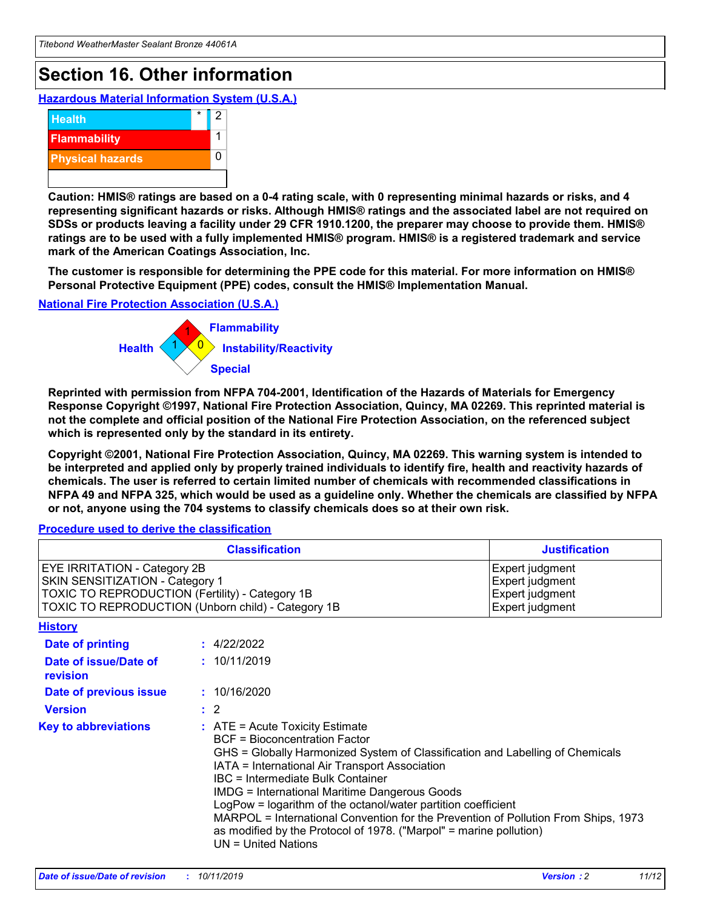## **Section 16. Other information**

**Hazardous Material Information System (U.S.A.)**



**Caution: HMIS® ratings are based on a 0-4 rating scale, with 0 representing minimal hazards or risks, and 4 representing significant hazards or risks. Although HMIS® ratings and the associated label are not required on SDSs or products leaving a facility under 29 CFR 1910.1200, the preparer may choose to provide them. HMIS® ratings are to be used with a fully implemented HMIS® program. HMIS® is a registered trademark and service mark of the American Coatings Association, Inc.**

**The customer is responsible for determining the PPE code for this material. For more information on HMIS® Personal Protective Equipment (PPE) codes, consult the HMIS® Implementation Manual.**

#### **National Fire Protection Association (U.S.A.)**



**Reprinted with permission from NFPA 704-2001, Identification of the Hazards of Materials for Emergency Response Copyright ©1997, National Fire Protection Association, Quincy, MA 02269. This reprinted material is not the complete and official position of the National Fire Protection Association, on the referenced subject which is represented only by the standard in its entirety.**

**Copyright ©2001, National Fire Protection Association, Quincy, MA 02269. This warning system is intended to be interpreted and applied only by properly trained individuals to identify fire, health and reactivity hazards of chemicals. The user is referred to certain limited number of chemicals with recommended classifications in NFPA 49 and NFPA 325, which would be used as a guideline only. Whether the chemicals are classified by NFPA or not, anyone using the 704 systems to classify chemicals does so at their own risk.**

#### **Procedure used to derive the classification**

|                                                                                                                                  | <b>Classification</b>                                                                                                                                                                                                                                                                                                                                                                                                                                                                                                                                                           | <b>Justification</b>                                                     |
|----------------------------------------------------------------------------------------------------------------------------------|---------------------------------------------------------------------------------------------------------------------------------------------------------------------------------------------------------------------------------------------------------------------------------------------------------------------------------------------------------------------------------------------------------------------------------------------------------------------------------------------------------------------------------------------------------------------------------|--------------------------------------------------------------------------|
| <b>EYE IRRITATION - Category 2B</b><br>SKIN SENSITIZATION - Category 1<br><b>TOXIC TO REPRODUCTION (Fertility) - Category 1B</b> | TOXIC TO REPRODUCTION (Unborn child) - Category 1B                                                                                                                                                                                                                                                                                                                                                                                                                                                                                                                              | Expert judgment<br>Expert judgment<br>Expert judgment<br>Expert judgment |
| <b>History</b>                                                                                                                   |                                                                                                                                                                                                                                                                                                                                                                                                                                                                                                                                                                                 |                                                                          |
| <b>Date of printing</b>                                                                                                          | : 4/22/2022                                                                                                                                                                                                                                                                                                                                                                                                                                                                                                                                                                     |                                                                          |
| Date of issue/Date of<br>revision                                                                                                | : 10/11/2019                                                                                                                                                                                                                                                                                                                                                                                                                                                                                                                                                                    |                                                                          |
| Date of previous issue                                                                                                           | : 10/16/2020                                                                                                                                                                                                                                                                                                                                                                                                                                                                                                                                                                    |                                                                          |
| <b>Version</b>                                                                                                                   | $\therefore$ 2                                                                                                                                                                                                                                                                                                                                                                                                                                                                                                                                                                  |                                                                          |
| <b>Key to abbreviations</b>                                                                                                      | $\therefore$ ATE = Acute Toxicity Estimate<br><b>BCF</b> = Bioconcentration Factor<br>GHS = Globally Harmonized System of Classification and Labelling of Chemicals<br>IATA = International Air Transport Association<br><b>IBC</b> = Intermediate Bulk Container<br><b>IMDG = International Maritime Dangerous Goods</b><br>LogPow = logarithm of the octanol/water partition coefficient<br>MARPOL = International Convention for the Prevention of Pollution From Ships, 1973<br>as modified by the Protocol of 1978. ("Marpol" = marine pollution)<br>$UN = United Nations$ |                                                                          |